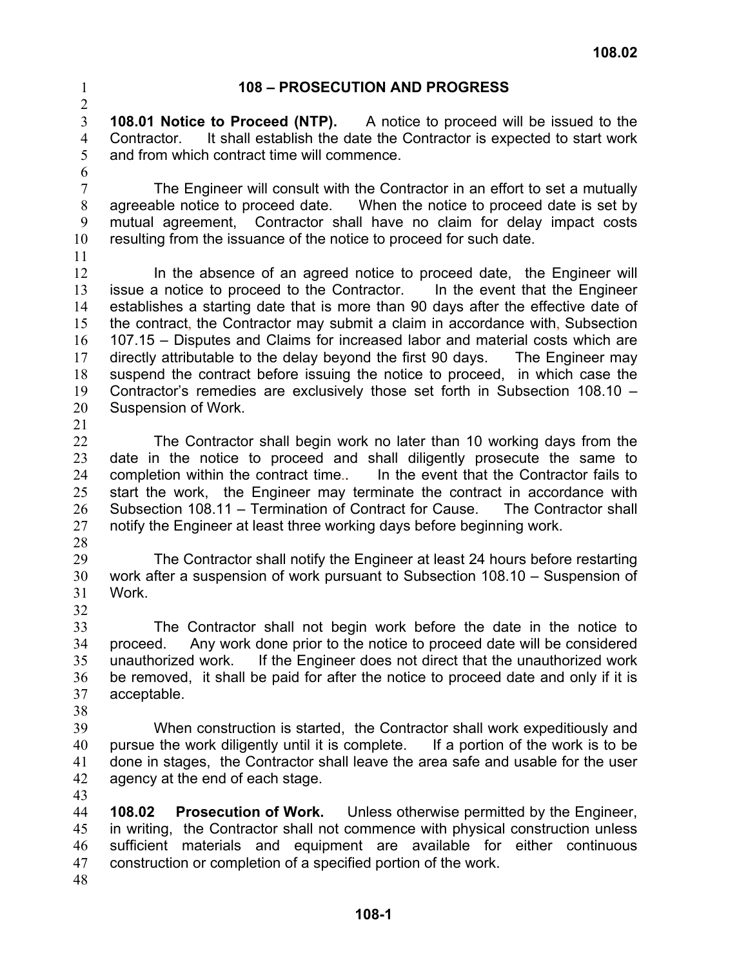### 1 **108 – PROSECUTION AND PROGRESS**

2 3 4 5 **108.01 Notice to Proceed (NTP).** A notice to proceed will be issued to the Contractor. It shall establish the date the Contractor is expected to start work and from which contract time will commence.

7 8 9 10 11 The Engineer will consult with the Contractor in an effort to set a mutually agreeable notice to proceed date. When the notice to proceed date is set by mutual agreement, Contractor shall have no claim for delay impact costs resulting from the issuance of the notice to proceed for such date.

- 12 13 14 15 16 17 18 19 20 In the absence of an agreed notice to proceed date, the Engineer will issue a notice to proceed to the Contractor. In the event that the Engineer establishes a starting date that is more than 90 days after the effective date of the contract, the Contractor may submit a claim in accordance with, Subsection 107.15 – Disputes and Claims for increased labor and material costs which are directly attributable to the delay beyond the first 90 days. The Engineer may suspend the contract before issuing the notice to proceed, in which case the Contractor's remedies are exclusively those set forth in Subsection 108.10 – Suspension of Work.
- 21

6

22 23 24 25 26 27 The Contractor shall begin work no later than 10 working days from the date in the notice to proceed and shall diligently prosecute the same to completion within the contract time.. In the event that the Contractor fails to start the work, the Engineer may terminate the contract in accordance with Subsection 108.11 – Termination of Contract for Cause. The Contractor shall notify the Engineer at least three working days before beginning work.

28

29 30 31 The Contractor shall notify the Engineer at least 24 hours before restarting work after a suspension of work pursuant to Subsection 108.10 – Suspension of **Work** 

32

33 34 35 36 37 The Contractor shall not begin work before the date in the notice to proceed. Any work done prior to the notice to proceed date will be considered unauthorized work. If the Engineer does not direct that the unauthorized work be removed, it shall be paid for after the notice to proceed date and only if it is acceptable.

38

39 40 41 42 When construction is started, the Contractor shall work expeditiously and pursue the work diligently until it is complete. If a portion of the work is to be done in stages, the Contractor shall leave the area safe and usable for the user agency at the end of each stage.

43

44 45 46 47 48 **108.02 Prosecution of Work.** Unless otherwise permitted by the Engineer, in writing, the Contractor shall not commence with physical construction unless sufficient materials and equipment are available for either continuous construction or completion of a specified portion of the work.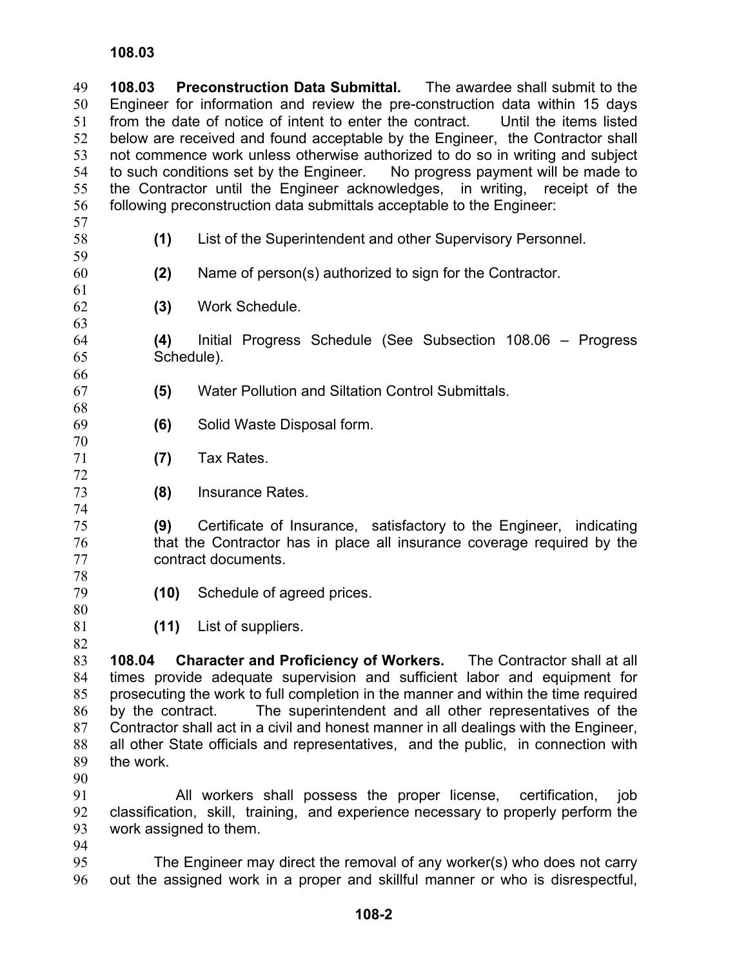60 61 62

66

68

70

72

74

78

80

82

**108.03 Preconstruction Data Submittal.** The awardee shall submit to the Engineer for information and review the pre-construction data within 15 days from the date of notice of intent to enter the contract. Until the items listed below are received and found acceptable by the Engineer, the Contractor shall not commence work unless otherwise authorized to do so in writing and subject to such conditions set by the Engineer. No progress payment will be made to the Contractor until the Engineer acknowledges, in writing, receipt of the following preconstruction data submittals acceptable to the Engineer: 49 50 51 52 53 54 55 56 57

- 58 59 **(1)** List of the Superintendent and other Supervisory Personnel.
	- **(2)** Name of person(s) authorized to sign for the Contractor.
		- **(3)** Work Schedule.
- 63 64 65 **(4)** Initial Progress Schedule (See Subsection 108.06 – Progress Schedule).
- 67 **(5)** Water Pollution and Siltation Control Submittals.
- 69 **(6)** Solid Waste Disposal form.
- 71 **(7)** Tax Rates.
- 73 **(8)** Insurance Rates.
- 75 76 77 **(9)** Certificate of Insurance, satisfactory to the Engineer, indicating that the Contractor has in place all insurance coverage required by the contract documents.
- 79 **(10)** Schedule of agreed prices.
- 81 **(11)** List of suppliers.

83 84 85 86 87 88 89 **108.04 Character and Proficiency of Workers.** The Contractor shall at all times provide adequate supervision and sufficient labor and equipment for prosecuting the work to full completion in the manner and within the time required by the contract. The superintendent and all other representatives of the Contractor shall act in a civil and honest manner in all dealings with the Engineer, all other State officials and representatives, and the public, in connection with the work.

90

91 92 93 All workers shall possess the proper license, certification, job classification, skill, training, and experience necessary to properly perform the work assigned to them.

94

95 96 The Engineer may direct the removal of any worker(s) who does not carry out the assigned work in a proper and skillful manner or who is disrespectful,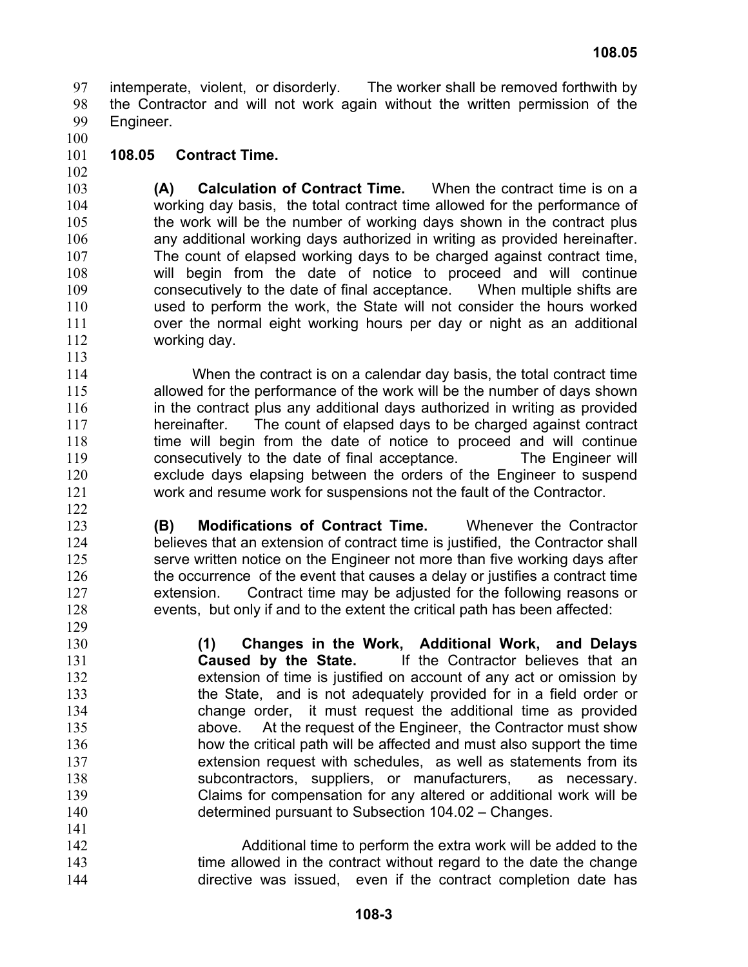intemperate, violent, or disorderly. The worker shall be removed forthwith by the Contractor and will not work again without the written permission of the Engineer. 97 98 99

100 101

102

113

122

129

## **108.05 Contract Time.**

103 104 105 106 107 108 109 110 111 112 **(A) Calculation of Contract Time.** When the contract time is on a working day basis, the total contract time allowed for the performance of the work will be the number of working days shown in the contract plus any additional working days authorized in writing as provided hereinafter. The count of elapsed working days to be charged against contract time, will begin from the date of notice to proceed and will continue consecutively to the date of final acceptance. When multiple shifts are used to perform the work, the State will not consider the hours worked over the normal eight working hours per day or night as an additional working day.

114 115 116 117 118 119 120 121 When the contract is on a calendar day basis, the total contract time allowed for the performance of the work will be the number of days shown in the contract plus any additional days authorized in writing as provided hereinafter. The count of elapsed days to be charged against contract time will begin from the date of notice to proceed and will continue consecutively to the date of final acceptance. The Engineer will exclude days elapsing between the orders of the Engineer to suspend work and resume work for suspensions not the fault of the Contractor.

- 123 124 125 126 127 128 **(B) Modifications of Contract Time.** Whenever the Contractor believes that an extension of contract time is justified, the Contractor shall serve written notice on the Engineer not more than five working days after the occurrence of the event that causes a delay or justifies a contract time extension. Contract time may be adjusted for the following reasons or events, but only if and to the extent the critical path has been affected:
- 130 131 132 133 134 135 136 137 138 139 140 141 **(1) Changes in the Work, Additional Work, and Delays Caused by the State.** If the Contractor believes that an extension of time is justified on account of any act or omission by the State, and is not adequately provided for in a field order or change order, it must request the additional time as provided above. At the request of the Engineer, the Contractor must show how the critical path will be affected and must also support the time extension request with schedules, as well as statements from its subcontractors, suppliers, or manufacturers, as necessary. Claims for compensation for any altered or additional work will be determined pursuant to Subsection 104.02 – Changes.
- 142 143 144 Additional time to perform the extra work will be added to the time allowed in the contract without regard to the date the change directive was issued, even if the contract completion date has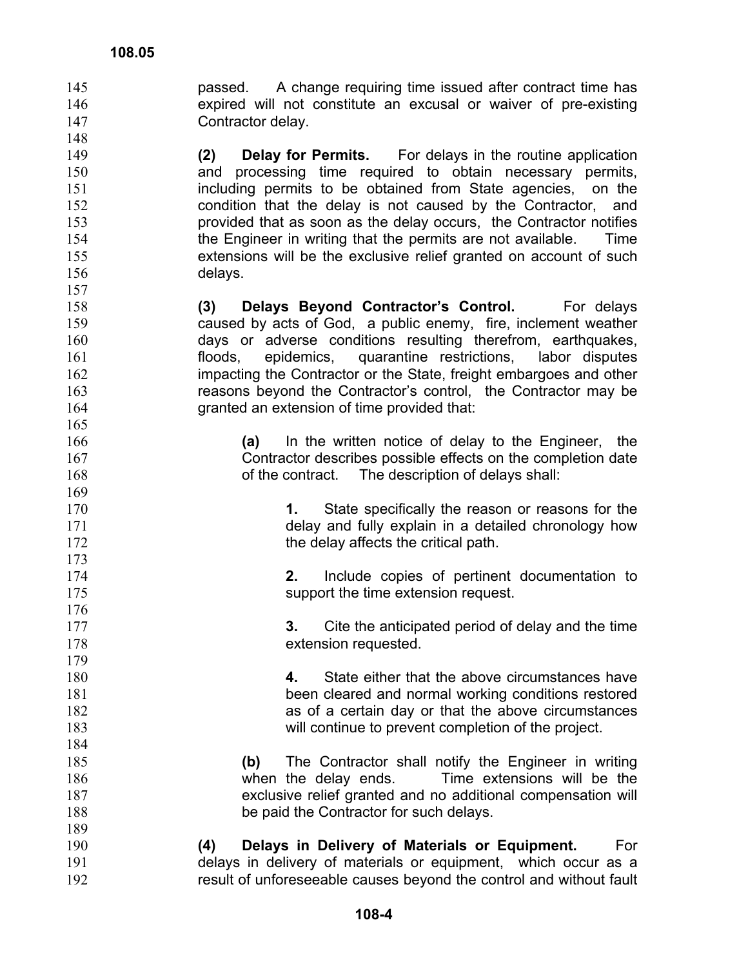passed. A change requiring time issued after contract time has expired will not constitute an excusal or waiver of pre-existing Contractor delay.

**(2) Delay for Permits.** For delays in the routine application and processing time required to obtain necessary permits, including permits to be obtained from State agencies, on the condition that the delay is not caused by the Contractor, and provided that as soon as the delay occurs, the Contractor notifies the Engineer in writing that the permits are not available. Time extensions will be the exclusive relief granted on account of such delays.

158 159 160 161 162 163 164 **(3) Delays Beyond Contractor's Control.** For delays caused by acts of God, a public enemy, fire, inclement weather days or adverse conditions resulting therefrom, earthquakes, floods, epidemics, quarantine restrictions, labor disputes impacting the Contractor or the State, freight embargoes and other reasons beyond the Contractor's control, the Contractor may be granted an extension of time provided that:

> **(a)** In the written notice of delay to the Engineer, the Contractor describes possible effects on the completion date of the contract. The description of delays shall:

170 171 172 173 **1.** State specifically the reason or reasons for the delay and fully explain in a detailed chronology how the delay affects the critical path.

> **2.** Include copies of pertinent documentation to support the time extension request.

**3.** Cite the anticipated period of delay and the time extension requested.

**4.** State either that the above circumstances have been cleared and normal working conditions restored as of a certain day or that the above circumstances will continue to prevent completion of the project.

**(b)** The Contractor shall notify the Engineer in writing when the delay ends. Time extensions will be the exclusive relief granted and no additional compensation will be paid the Contractor for such delays.

190 191 192 **(4) Delays in Delivery of Materials or Equipment.** For delays in delivery of materials or equipment, which occur as a result of unforeseeable causes beyond the control and without fault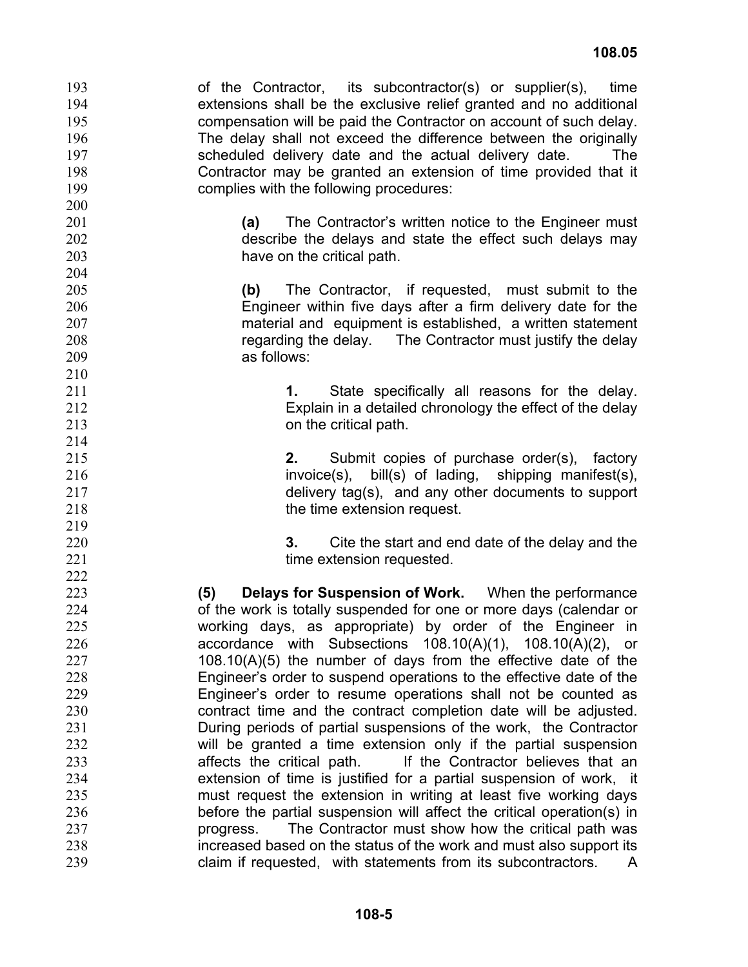of the Contractor, its subcontractor(s) or supplier(s), time extensions shall be the exclusive relief granted and no additional compensation will be paid the Contractor on account of such delay. The delay shall not exceed the difference between the originally scheduled delivery date and the actual delivery date. The Contractor may be granted an extension of time provided that it complies with the following procedures: 193 194 195 196 197 198 199 200 201 202 203 204 205 206 207 208 209 210 211 212 213 214 215 216 217 218 219 220 221 222 223 224 225 226 227 228 229 230 231 232 233 234 235 236 237 238 239 **(a)** The Contractor's written notice to the Engineer must describe the delays and state the effect such delays may have on the critical path. **(b)** The Contractor, if requested, must submit to the Engineer within five days after a firm delivery date for the material and equipment is established, a written statement regarding the delay. The Contractor must justify the delay as follows: **1.** State specifically all reasons for the delay. Explain in a detailed chronology the effect of the delay on the critical path. **2.** Submit copies of purchase order(s), factory invoice(s), bill(s) of lading, shipping manifest(s), delivery tag(s), and any other documents to support the time extension request. **3.** Cite the start and end date of the delay and the time extension requested. **(5) Delays for Suspension of Work.** When the performance of the work is totally suspended for one or more days (calendar or working days, as appropriate) by order of the Engineer in accordance with Subsections 108.10(A)(1), 108.10(A)(2), or 108.10(A)(5) the number of days from the effective date of the Engineer's order to suspend operations to the effective date of the Engineer's order to resume operations shall not be counted as contract time and the contract completion date will be adjusted. During periods of partial suspensions of the work, the Contractor will be granted a time extension only if the partial suspension affects the critical path. If the Contractor believes that an extension of time is justified for a partial suspension of work, it must request the extension in writing at least five working days before the partial suspension will affect the critical operation(s) in progress. The Contractor must show how the critical path was increased based on the status of the work and must also support its claim if requested, with statements from its subcontractors. A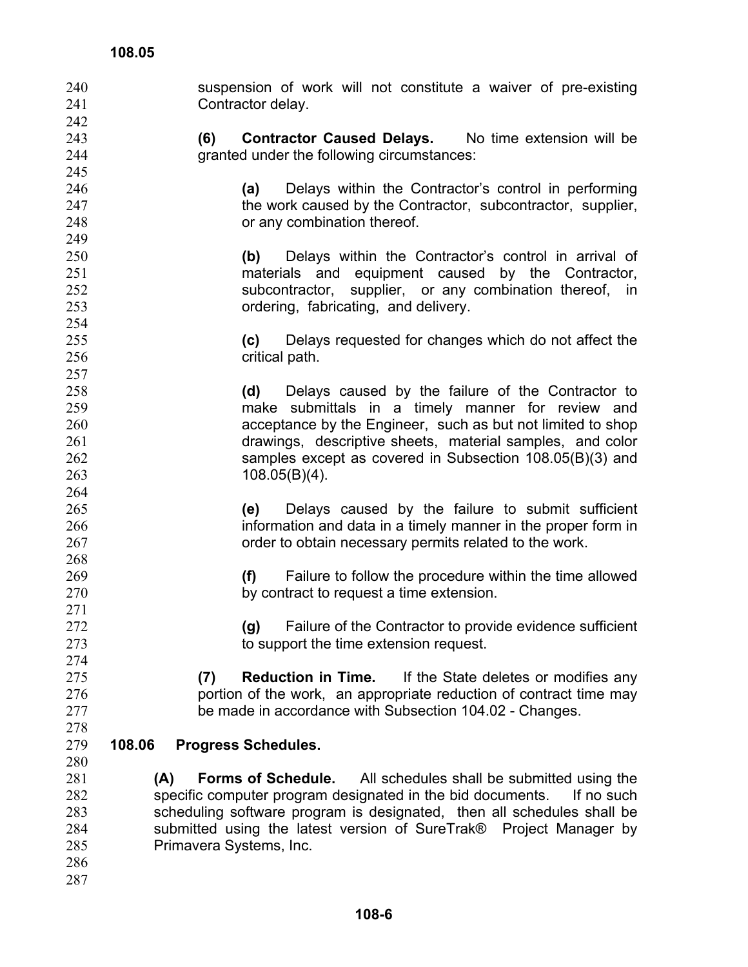240 241 242 243 244 245 246 247 248 249 250 251 252 253 254 255 256 257 258 259 260 261 262 263 264 265 266 267 268 269 270 271 272 273 274 275 276 277 278 279 280 281 282 283 284 285 286 287 suspension of work will not constitute a waiver of pre-existing Contractor delay. **(6) Contractor Caused Delays.** No time extension will be granted under the following circumstances: **(a)** Delays within the Contractor's control in performing the work caused by the Contractor, subcontractor, supplier, or any combination thereof. **(b)** Delays within the Contractor's control in arrival of materials and equipment caused by the Contractor, subcontractor, supplier, or any combination thereof, in ordering, fabricating, and delivery. **(c)** Delays requested for changes which do not affect the critical path. **(d)** Delays caused by the failure of the Contractor to make submittals in a timely manner for review and acceptance by the Engineer, such as but not limited to shop drawings, descriptive sheets, material samples, and color samples except as covered in Subsection 108.05(B)(3) and 108.05(B)(4). **(e)** Delays caused by the failure to submit sufficient information and data in a timely manner in the proper form in order to obtain necessary permits related to the work. **(f)** Failure to follow the procedure within the time allowed by contract to request a time extension. **(g)** Failure of the Contractor to provide evidence sufficient to support the time extension request. **(7) Reduction in Time.** If the State deletes or modifies any portion of the work, an appropriate reduction of contract time may be made in accordance with Subsection 104.02 - Changes. **108.06 Progress Schedules. (A) Forms of Schedule.** All schedules shall be submitted using the specific computer program designated in the bid documents. If no such scheduling software program is designated, then all schedules shall be submitted using the latest version of SureTrak® Project Manager by Primavera Systems, Inc.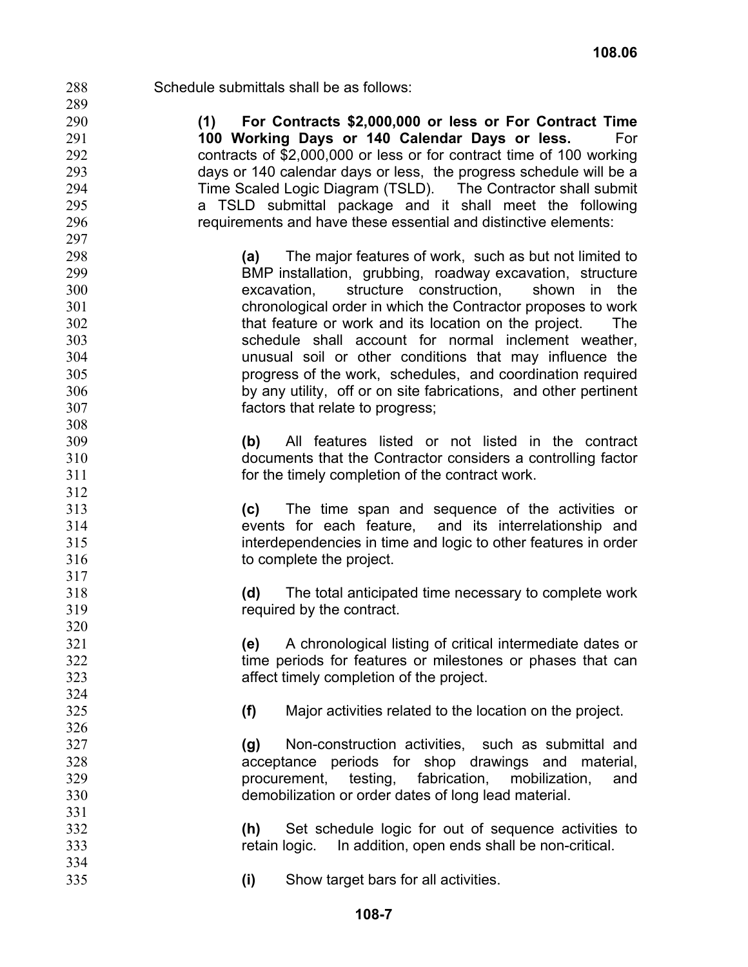289

288 Schedule submittals shall be as follows:

**(1) For Contracts \$2,000,000 or less or For Contract Time 100 Working Days or 140 Calendar Days or less.** For contracts of \$2,000,000 or less or for contract time of 100 working days or 140 calendar days or less, the progress schedule will be a Time Scaled Logic Diagram (TSLD). The Contractor shall submit a TSLD submittal package and it shall meet the following requirements and have these essential and distinctive elements:

**(a)** The major features of work, such as but not limited to BMP installation, grubbing, roadway excavation, structure excavation, structure construction, shown in the chronological order in which the Contractor proposes to work that feature or work and its location on the project. The schedule shall account for normal inclement weather, unusual soil or other conditions that may influence the progress of the work, schedules, and coordination required by any utility, off or on site fabrications, and other pertinent factors that relate to progress;

> **(b)** All features listed or not listed in the contract documents that the Contractor considers a controlling factor for the timely completion of the contract work.

> **(c)** The time span and sequence of the activities or events for each feature, and its interrelationship and interdependencies in time and logic to other features in order to complete the project.

> **(d)** The total anticipated time necessary to complete work required by the contract.

**(e)** A chronological listing of critical intermediate dates or time periods for features or milestones or phases that can affect timely completion of the project.

**(f)** Major activities related to the location on the project.

**(g)** Non-construction activities, such as submittal and acceptance periods for shop drawings and material, procurement, testing, fabrication, mobilization, and demobilization or order dates of long lead material.

**(h)** Set schedule logic for out of sequence activities to retain logic. In addition, open ends shall be non-critical.

**(i)** Show target bars for all activities.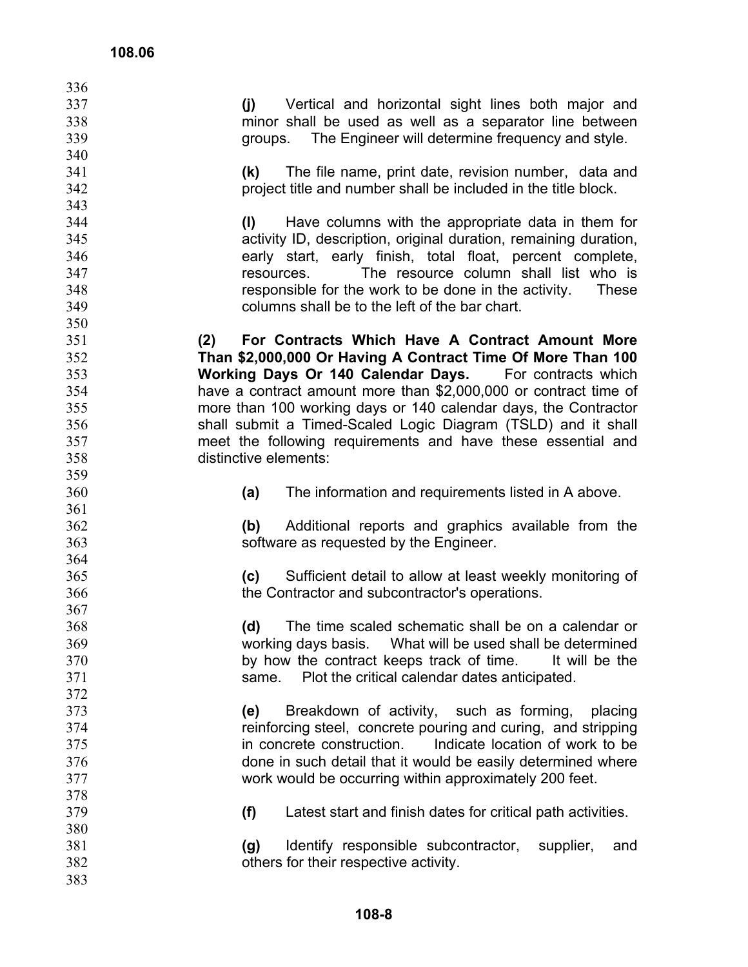| 336 |                                                                      |
|-----|----------------------------------------------------------------------|
| 337 | (i)<br>Vertical and horizontal sight lines both major and            |
| 338 | minor shall be used as well as a separator line between              |
| 339 | groups. The Engineer will determine frequency and style.             |
| 340 |                                                                      |
| 341 | The file name, print date, revision number, data and<br>(k)          |
| 342 | project title and number shall be included in the title block.       |
| 343 |                                                                      |
| 344 | Have columns with the appropriate data in them for<br>(1)            |
| 345 | activity ID, description, original duration, remaining duration,     |
| 346 | early start, early finish, total float, percent complete,            |
| 347 | The resource column shall list who is<br>resources.                  |
| 348 | responsible for the work to be done in the activity.<br><b>These</b> |
| 349 | columns shall be to the left of the bar chart.                       |
|     |                                                                      |
| 350 |                                                                      |
| 351 | For Contracts Which Have A Contract Amount More<br>(2)               |
| 352 | Than \$2,000,000 Or Having A Contract Time Of More Than 100          |
| 353 | Working Days Or 140 Calendar Days. For contracts which               |
| 354 | have a contract amount more than \$2,000,000 or contract time of     |
| 355 | more than 100 working days or 140 calendar days, the Contractor      |
| 356 | shall submit a Timed-Scaled Logic Diagram (TSLD) and it shall        |
| 357 | meet the following requirements and have these essential and         |
| 358 | distinctive elements:                                                |
| 359 |                                                                      |
| 360 | The information and requirements listed in A above.<br>(a)           |
| 361 |                                                                      |
| 362 | (b) Additional reports and graphics available from the               |
| 363 | software as requested by the Engineer.                               |
| 364 |                                                                      |
| 365 | (c) Sufficient detail to allow at least weekly monitoring of         |
| 366 | the Contractor and subcontractor's operations.                       |
| 367 |                                                                      |
| 368 | The time scaled schematic shall be on a calendar or<br>(d)           |
| 369 | working days basis.  What will be used shall be determined           |
| 370 | by how the contract keeps track of time.<br>It will be the           |
| 371 | Plot the critical calendar dates anticipated.<br>same.               |
| 372 |                                                                      |
| 373 | Breakdown of activity, such as forming,<br>(e)<br>placing            |
| 374 | reinforcing steel, concrete pouring and curing, and stripping        |
| 375 | Indicate location of work to be<br>in concrete construction.         |
| 376 | done in such detail that it would be easily determined where         |
| 377 | work would be occurring within approximately 200 feet.               |
| 378 |                                                                      |
| 379 | (f)<br>Latest start and finish dates for critical path activities.   |
| 380 |                                                                      |
| 381 | Identify responsible subcontractor,<br>supplier,<br>and              |
| 382 | (g)<br>others for their respective activity.                         |
|     |                                                                      |
| 383 |                                                                      |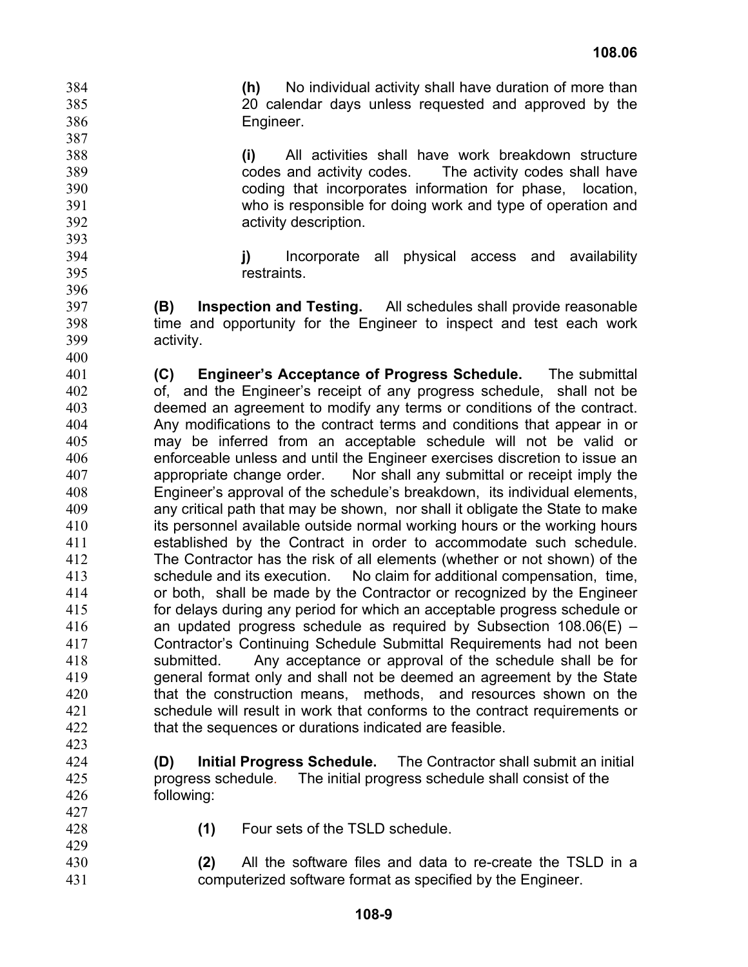**(h)** No individual activity shall have duration of more than 20 calendar days unless requested and approved by the Engineer.

**(i)** All activities shall have work breakdown structure codes and activity codes. The activity codes shall have coding that incorporates information for phase, location, who is responsible for doing work and type of operation and activity description.

**j)** Incorporate all physical access and availability restraints.

397 398 399 **(B) Inspection and Testing.** All schedules shall provide reasonable time and opportunity for the Engineer to inspect and test each work activity.

400 401 402 403 404 405 406 407 408 409 410 411 412 413 414 415 416 417 418 419 420 421 422 **(C) Engineer's Acceptance of Progress Schedule.** The submittal of, and the Engineer's receipt of any progress schedule, shall not be deemed an agreement to modify any terms or conditions of the contract. Any modifications to the contract terms and conditions that appear in or may be inferred from an acceptable schedule will not be valid or enforceable unless and until the Engineer exercises discretion to issue an appropriate change order. Nor shall any submittal or receipt imply the Engineer's approval of the schedule's breakdown, its individual elements, any critical path that may be shown, nor shall it obligate the State to make its personnel available outside normal working hours or the working hours established by the Contract in order to accommodate such schedule. The Contractor has the risk of all elements (whether or not shown) of the schedule and its execution. No claim for additional compensation, time, or both, shall be made by the Contractor or recognized by the Engineer for delays during any period for which an acceptable progress schedule or an updated progress schedule as required by Subsection  $108.06(E)$  – Contractor's Continuing Schedule Submittal Requirements had not been submitted. Any acceptance or approval of the schedule shall be for general format only and shall not be deemed an agreement by the State that the construction means, methods, and resources shown on the schedule will result in work that conforms to the contract requirements or that the sequences or durations indicated are feasible.

- 424 425 426 **(D) Initial Progress Schedule.** The Contractor shall submit an initial progress schedule*.* The initial progress schedule shall consist of the following:
- 427 428

429

423

**(1)** Four sets of the TSLD schedule.

430 431 **(2)** All the software files and data to re-create the TSLD in a computerized software format as specified by the Engineer.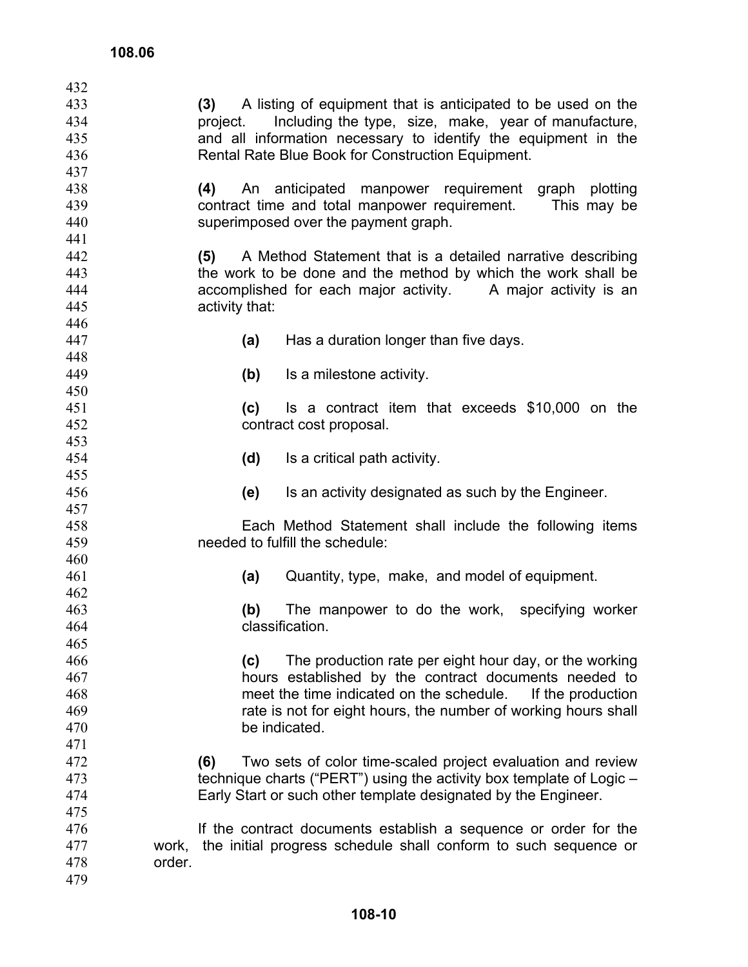| 432        |        |                |     |                                                                      |
|------------|--------|----------------|-----|----------------------------------------------------------------------|
| 433        |        | (3)            |     | A listing of equipment that is anticipated to be used on the         |
| 434        |        | project.       |     | Including the type, size, make, year of manufacture,                 |
| 435        |        |                |     | and all information necessary to identify the equipment in the       |
| 436        |        |                |     | Rental Rate Blue Book for Construction Equipment.                    |
| 437        |        |                |     |                                                                      |
| 438        |        | (4)            |     | An anticipated manpower requirement graph<br>plotting                |
| 439        |        |                |     | contract time and total manpower requirement.<br>This may be         |
| 440        |        |                |     | superimposed over the payment graph.                                 |
| 441        |        |                |     |                                                                      |
| 442        |        | (5)            |     | A Method Statement that is a detailed narrative describing           |
| 443        |        |                |     | the work to be done and the method by which the work shall be        |
| 444        |        |                |     | accomplished for each major activity. A major activity is an         |
| 445        |        | activity that: |     |                                                                      |
| 446        |        |                |     |                                                                      |
| 447        |        |                | (a) | Has a duration longer than five days.                                |
| 448        |        |                |     |                                                                      |
| 449        |        |                |     | Is a milestone activity.                                             |
| 450        |        |                | (b) |                                                                      |
|            |        |                |     |                                                                      |
| 451<br>452 |        |                | (c) | Is a contract item that exceeds \$10,000 on the                      |
|            |        |                |     | contract cost proposal.                                              |
| 453        |        |                |     |                                                                      |
| 454        |        |                | (d) | Is a critical path activity.                                         |
| 455        |        |                |     |                                                                      |
| 456        |        |                | (e) | Is an activity designated as such by the Engineer.                   |
| 457        |        |                |     |                                                                      |
| 458        |        |                |     | Each Method Statement shall include the following items              |
| 459        |        |                |     | needed to fulfill the schedule:                                      |
| 460        |        |                |     |                                                                      |
| 461        |        |                | (a) | Quantity, type, make, and model of equipment.                        |
| 462        |        |                |     |                                                                      |
| 463        |        |                | (b) | The manpower to do the work, specifying worker                       |
| 464        |        |                |     | classification.                                                      |
| 465        |        |                |     |                                                                      |
| 466        |        |                | (c) | The production rate per eight hour day, or the working               |
| 467        |        |                |     | hours established by the contract documents needed to                |
| 468        |        |                |     | meet the time indicated on the schedule.<br>If the production        |
| 469        |        |                |     | rate is not for eight hours, the number of working hours shall       |
| 470        |        |                |     | be indicated.                                                        |
| 471        |        |                |     |                                                                      |
| 472        |        | (6)            |     | Two sets of color time-scaled project evaluation and review          |
| 473        |        |                |     | technique charts ("PERT") using the activity box template of Logic – |
| 474        |        |                |     | Early Start or such other template designated by the Engineer.       |
| 475        |        |                |     |                                                                      |
| 476        |        |                |     | If the contract documents establish a sequence or order for the      |
| 477        | work,  |                |     | the initial progress schedule shall conform to such sequence or      |
| 478        | order. |                |     |                                                                      |
| 479        |        |                |     |                                                                      |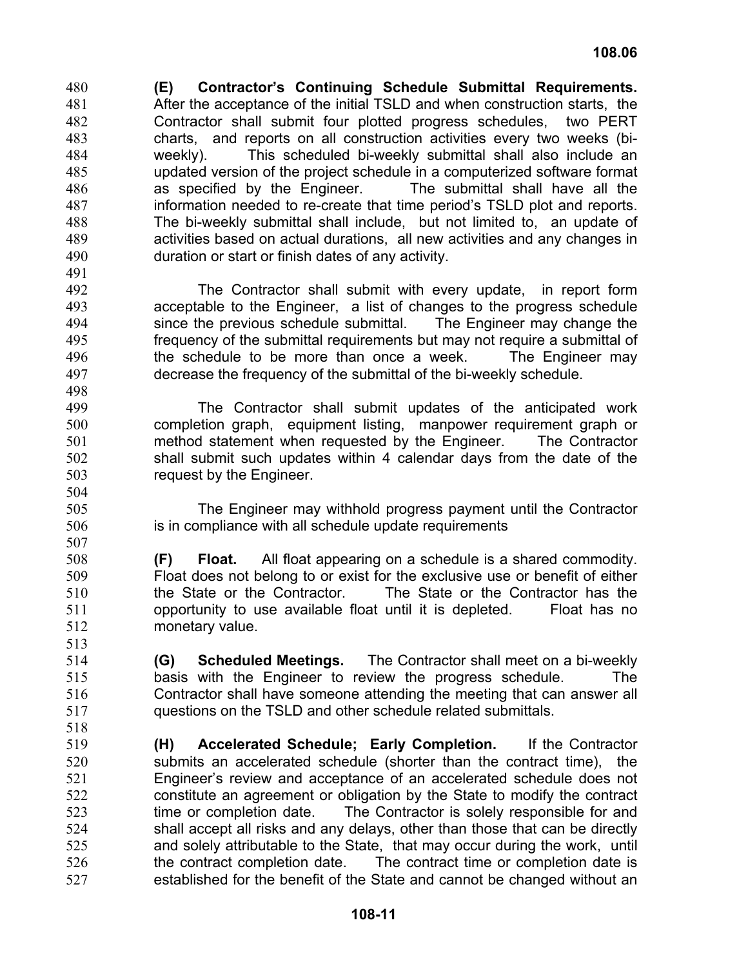**(E) Contractor's Continuing Schedule Submittal Requirements.** After the acceptance of the initial TSLD and when construction starts, the Contractor shall submit four plotted progress schedules, two PERT charts, and reports on all construction activities every two weeks (biweekly). This scheduled bi-weekly submittal shall also include an updated version of the project schedule in a computerized software format as specified by the Engineer. The submittal shall have all the information needed to re-create that time period's TSLD plot and reports. The bi-weekly submittal shall include, but not limited to, an update of activities based on actual durations, all new activities and any changes in duration or start or finish dates of any activity. 480 481 482 483 484 485 486 487 488 489 490

491

498

513

518

492 493 494 495 496 497 The Contractor shall submit with every update, in report form acceptable to the Engineer, a list of changes to the progress schedule since the previous schedule submittal. The Engineer may change the frequency of the submittal requirements but may not require a submittal of the schedule to be more than once a week. The Engineer may decrease the frequency of the submittal of the bi-weekly schedule.

499 500 501 502 503 The Contractor shall submit updates of the anticipated work completion graph, equipment listing, manpower requirement graph or method statement when requested by the Engineer. The Contractor shall submit such updates within 4 calendar days from the date of the request by the Engineer.

The Engineer may withhold progress payment until the Contractor is in compliance with all schedule update requirements

508 509 510 511 512 **(F) Float.** All float appearing on a schedule is a shared commodity. Float does not belong to or exist for the exclusive use or benefit of either the State or the Contractor. The State or the Contractor has the opportunity to use available float until it is depleted. Float has no monetary value.

514 515 516 517 **(G) Scheduled Meetings.** The Contractor shall meet on a bi-weekly basis with the Engineer to review the progress schedule. The Contractor shall have someone attending the meeting that can answer all questions on the TSLD and other schedule related submittals.

519 520 521 522 523 524 525 526 527 **(H) Accelerated Schedule; Early Completion.** If the Contractor submits an accelerated schedule (shorter than the contract time), the Engineer's review and acceptance of an accelerated schedule does not constitute an agreement or obligation by the State to modify the contract time or completion date. The Contractor is solely responsible for and shall accept all risks and any delays, other than those that can be directly and solely attributable to the State, that may occur during the work, until the contract completion date. The contract time or completion date is established for the benefit of the State and cannot be changed without an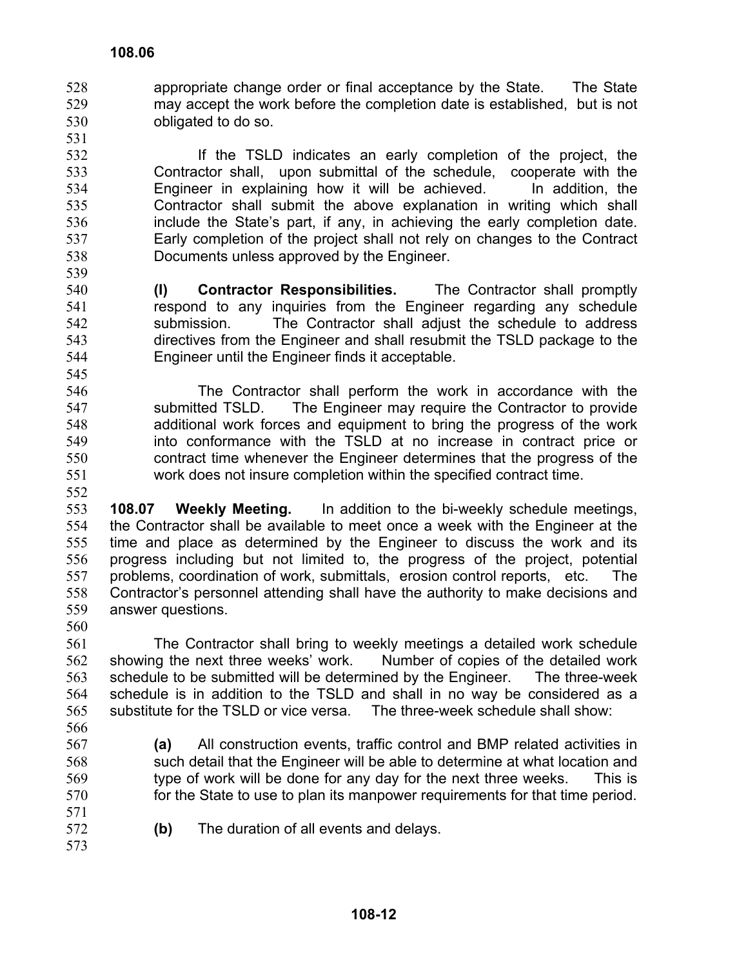528 529 530 appropriate change order or final acceptance by the State. The State may accept the work before the completion date is established, but is not obligated to do so.

532 533 534 535 536 537 538 If the TSLD indicates an early completion of the project, the Contractor shall, upon submittal of the schedule, cooperate with the Engineer in explaining how it will be achieved. In addition, the Contractor shall submit the above explanation in writing which shall include the State's part, if any, in achieving the early completion date. Early completion of the project shall not rely on changes to the Contract Documents unless approved by the Engineer.

540 541 542 543 544 **(I) Contractor Responsibilities.** The Contractor shall promptly respond to any inquiries from the Engineer regarding any schedule submission. The Contractor shall adjust the schedule to address directives from the Engineer and shall resubmit the TSLD package to the Engineer until the Engineer finds it acceptable.

546 547 548 549 550 551 The Contractor shall perform the work in accordance with the submitted TSLD. The Engineer may require the Contractor to provide additional work forces and equipment to bring the progress of the work into conformance with the TSLD at no increase in contract price or contract time whenever the Engineer determines that the progress of the work does not insure completion within the specified contract time.

552

531

539

545

553 554 555 556 557 558 559 **108.07 Weekly Meeting.** In addition to the bi-weekly schedule meetings, the Contractor shall be available to meet once a week with the Engineer at the time and place as determined by the Engineer to discuss the work and its progress including but not limited to, the progress of the project, potential problems, coordination of work, submittals, erosion control reports, etc. The Contractor's personnel attending shall have the authority to make decisions and answer questions.

- 561 562 563 564 565 The Contractor shall bring to weekly meetings a detailed work schedule showing the next three weeks' work. Number of copies of the detailed work schedule to be submitted will be determined by the Engineer. The three-week schedule is in addition to the TSLD and shall in no way be considered as a substitute for the TSLD or vice versa. The three-week schedule shall show:
- 566

560

567

569 570 571

568

**(a)** All construction events, traffic control and BMP related activities in such detail that the Engineer will be able to determine at what location and type of work will be done for any day for the next three weeks. This is for the State to use to plan its manpower requirements for that time period.

- 572 **(b)** The duration of all events and delays.
- 573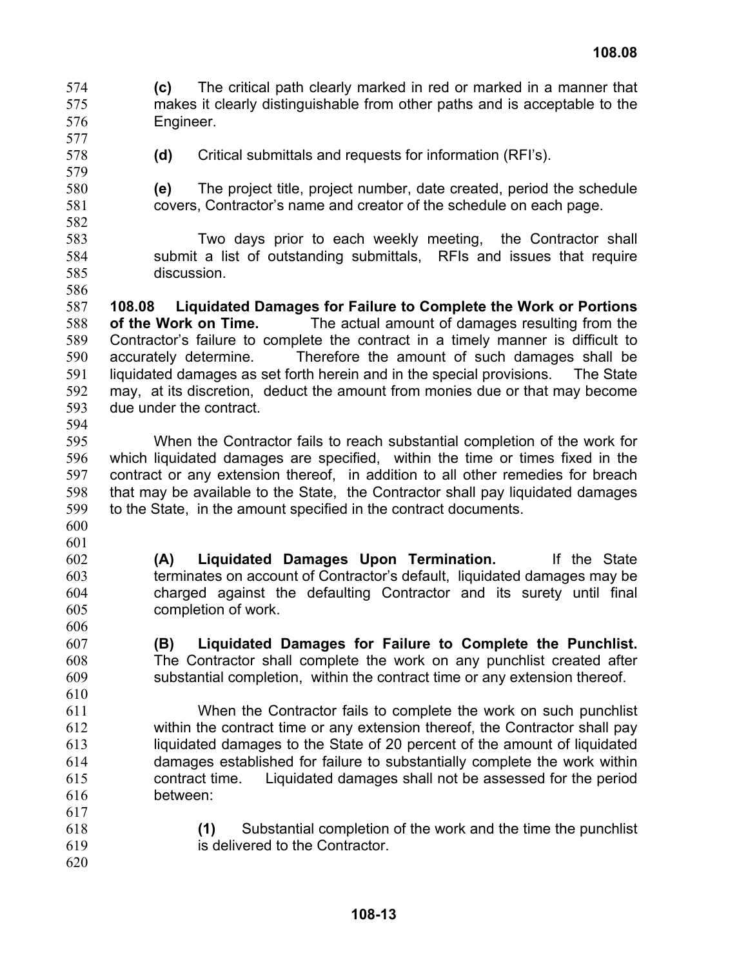**(c)** The critical path clearly marked in red or marked in a manner that makes it clearly distinguishable from other paths and is acceptable to the Engineer. 574 575 576

577 578 579

**(d)** Critical submittals and requests for information (RFI's).

- **(e)** The project title, project number, date created, period the schedule covers, Contractor's name and creator of the schedule on each page.
- Two days prior to each weekly meeting, the Contractor shall submit a list of outstanding submittals, RFIs and issues that require discussion.

587 588 589 590 591 592 593 **108.08 Liquidated Damages for Failure to Complete the Work or Portions of the Work on Time.** The actual amount of damages resulting from the Contractor's failure to complete the contract in a timely manner is difficult to accurately determine. Therefore the amount of such damages shall be liquidated damages as set forth herein and in the special provisions. The State may, at its discretion, deduct the amount from monies due or that may become due under the contract.

594

595 596 597 598 599 When the Contractor fails to reach substantial completion of the work for which liquidated damages are specified, within the time or times fixed in the contract or any extension thereof, in addition to all other remedies for breach that may be available to the State, the Contractor shall pay liquidated damages to the State, in the amount specified in the contract documents.

- 600
- 601 602 603 604 605 **(A) Liquidated Damages Upon Termination.** If the State terminates on account of Contractor's default, liquidated damages may be charged against the defaulting Contractor and its surety until final completion of work.
- 606

607 608

609 610 **(B) Liquidated Damages for Failure to Complete the Punchlist.**  The Contractor shall complete the work on any punchlist created after substantial completion, within the contract time or any extension thereof.

- 611 612 613 614 615 616 617 When the Contractor fails to complete the work on such punchlist within the contract time or any extension thereof, the Contractor shall pay liquidated damages to the State of 20 percent of the amount of liquidated damages established for failure to substantially complete the work within contract time. Liquidated damages shall not be assessed for the period between:
- 618 619 **(1)** Substantial completion of the work and the time the punchlist is delivered to the Contractor.
- 620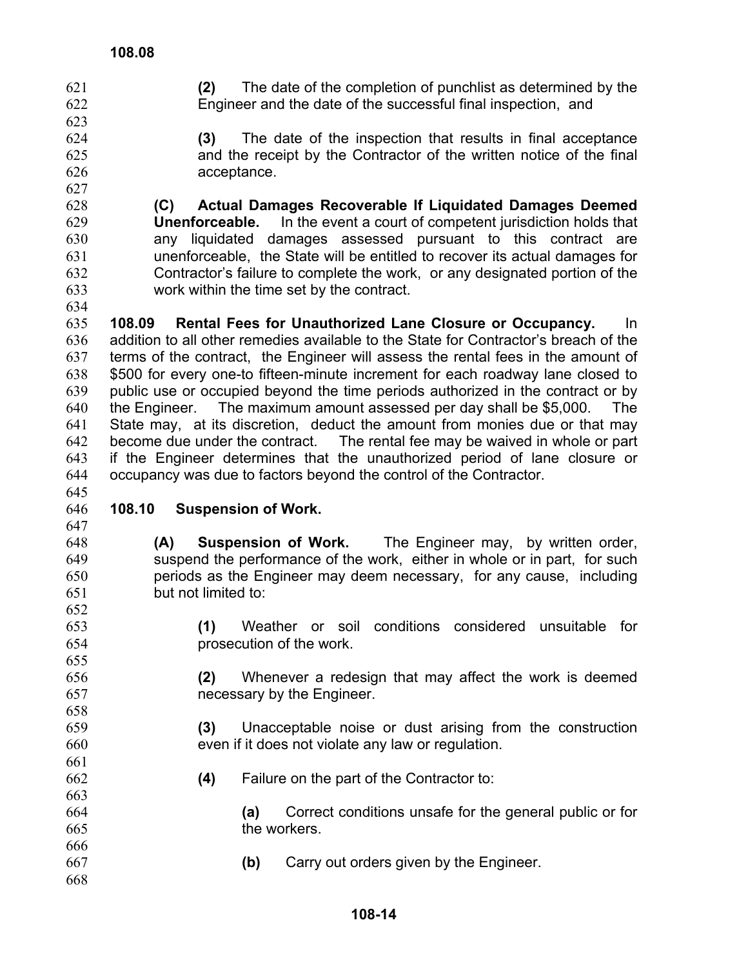- 621 622 **(2)** The date of the completion of punchlist as determined by the Engineer and the date of the successful final inspection, and
	- **(3)** The date of the inspection that results in final acceptance and the receipt by the Contractor of the written notice of the final acceptance.
- 628 629 630 631 632 633 **(C) Actual Damages Recoverable If Liquidated Damages Deemed Unenforceable.** In the event a court of competent jurisdiction holds that any liquidated damages assessed pursuant to this contract are unenforceable, the State will be entitled to recover its actual damages for Contractor's failure to complete the work, or any designated portion of the work within the time set by the contract.
- 634

635 636 637 638 639 640 641 642 643 644 645 **108.09 Rental Fees for Unauthorized Lane Closure or Occupancy.** In addition to all other remedies available to the State for Contractor's breach of the terms of the contract, the Engineer will assess the rental fees in the amount of \$500 for every one-to fifteen-minute increment for each roadway lane closed to public use or occupied beyond the time periods authorized in the contract or by the Engineer. The maximum amount assessed per day shall be \$5,000. The State may, at its discretion, deduct the amount from monies due or that may become due under the contract. The rental fee may be waived in whole or part if the Engineer determines that the unauthorized period of lane closure or occupancy was due to factors beyond the control of the Contractor.

- 646 **108.10 Suspension of Work.**
- 647

666

668

- 648 649 650 651 **(A) Suspension of Work.** The Engineer may, by written order, suspend the performance of the work, either in whole or in part, for such periods as the Engineer may deem necessary, for any cause, including but not limited to:
	- **(1)** Weather or soil conditions considered unsuitable for prosecution of the work.
	- **(2)** Whenever a redesign that may affect the work is deemed necessary by the Engineer.
		- **(3)** Unacceptable noise or dust arising from the construction even if it does not violate any law or regulation.
			- **(4)** Failure on the part of the Contractor to:
- 664 665 **(a)** Correct conditions unsafe for the general public or for the workers.
- 667 **(b)** Carry out orders given by the Engineer.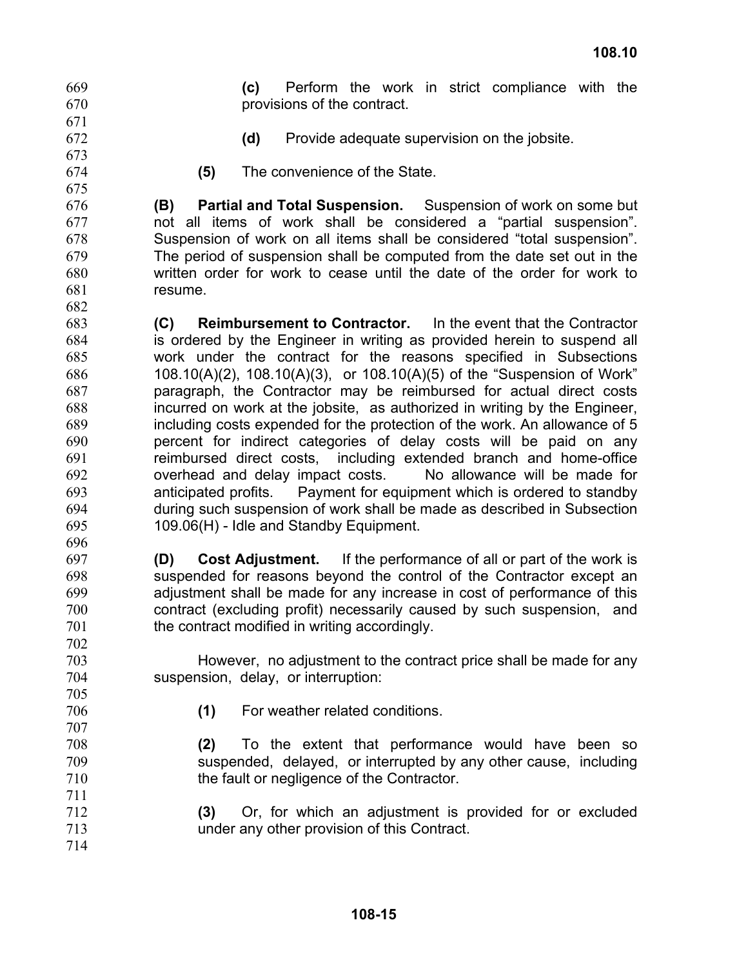- 669 670
- 671 672
- **(c)** Perform the work in strict compliance with the provisions of the contract.
- **(d)** Provide adequate supervision on the jobsite.

673 674 675

**(5)** The convenience of the State.

**(B) Partial and Total Suspension.** Suspension of work on some but not all items of work shall be considered a "partial suspension". Suspension of work on all items shall be considered "total suspension". The period of suspension shall be computed from the date set out in the written order for work to cease until the date of the order for work to resume.

683 684 685 686 687 688 689 690 691 692 693 694 695 **(C) Reimbursement to Contractor.** In the event that the Contractor is ordered by the Engineer in writing as provided herein to suspend all work under the contract for the reasons specified in Subsections 108.10(A)(2), 108.10(A)(3), or 108.10(A)(5) of the "Suspension of Work" paragraph, the Contractor may be reimbursed for actual direct costs incurred on work at the jobsite, as authorized in writing by the Engineer, including costs expended for the protection of the work. An allowance of 5 percent for indirect categories of delay costs will be paid on any reimbursed direct costs, including extended branch and home-office overhead and delay impact costs. No allowance will be made for anticipated profits. Payment for equipment which is ordered to standby during such suspension of work shall be made as described in Subsection 109.06(H) - Idle and Standby Equipment.

697 698 699 700 701 **(D) Cost Adjustment.** If the performance of all or part of the work is suspended for reasons beyond the control of the Contractor except an adjustment shall be made for any increase in cost of performance of this contract (excluding profit) necessarily caused by such suspension, and the contract modified in writing accordingly.

However, no adjustment to the contract price shall be made for any suspension, delay, or interruption:

- 706
- **(1)** For weather related conditions.
- **(2)** To the extent that performance would have been so suspended, delayed, or interrupted by any other cause, including the fault or negligence of the Contractor.
- 712 713 **(3)** Or, for which an adjustment is provided for or excluded under any other provision of this Contract.
- 714

696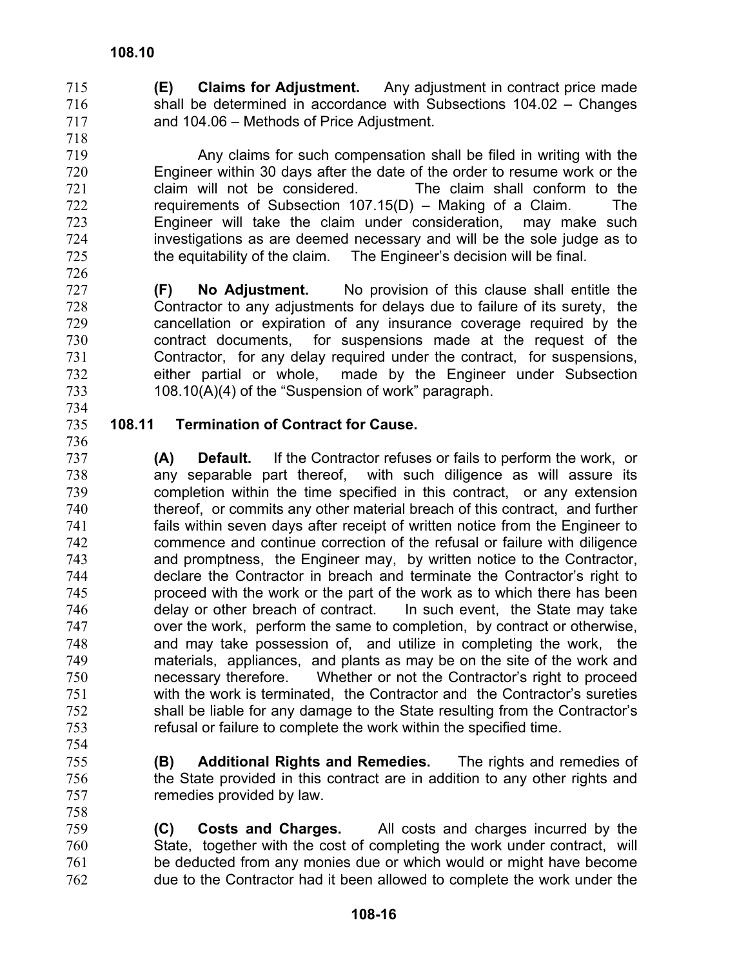715 716 717 **(E) Claims for Adjustment.** Any adjustment in contract price made shall be determined in accordance with Subsections 104.02 – Changes and 104.06 – Methods of Price Adjustment.

719 720 721 722 723 724 725 726 Any claims for such compensation shall be filed in writing with the Engineer within 30 days after the date of the order to resume work or the claim will not be considered. The claim shall conform to the requirements of Subsection 107.15(D) – Making of a Claim. The Engineer will take the claim under consideration, may make such investigations as are deemed necessary and will be the sole judge as to the equitability of the claim. The Engineer's decision will be final.

**(F) No Adjustment.** No provision of this clause shall entitle the Contractor to any adjustments for delays due to failure of its surety, the cancellation or expiration of any insurance coverage required by the contract documents, for suspensions made at the request of the Contractor, for any delay required under the contract, for suspensions, either partial or whole, made by the Engineer under Subsection 108.10(A)(4) of the "Suspension of work" paragraph.

733 734 735

736

718

# **108.11 Termination of Contract for Cause.**

737 738 739 740 741 742 743 744 745 746 747 748 749 750 751 752 753 **(A) Default.** If the Contractor refuses or fails to perform the work, or any separable part thereof, with such diligence as will assure its completion within the time specified in this contract, or any extension thereof, or commits any other material breach of this contract, and further fails within seven days after receipt of written notice from the Engineer to commence and continue correction of the refusal or failure with diligence and promptness, the Engineer may, by written notice to the Contractor, declare the Contractor in breach and terminate the Contractor's right to proceed with the work or the part of the work as to which there has been delay or other breach of contract. In such event, the State may take over the work, perform the same to completion, by contract or otherwise, and may take possession of, and utilize in completing the work, the materials, appliances, and plants as may be on the site of the work and necessary therefore. Whether or not the Contractor's right to proceed with the work is terminated, the Contractor and the Contractor's sureties shall be liable for any damage to the State resulting from the Contractor's refusal or failure to complete the work within the specified time.

754 755

756 757 758 **(B) Additional Rights and Remedies.** The rights and remedies of the State provided in this contract are in addition to any other rights and remedies provided by law.

759 760 761 762 **(C) Costs and Charges.** All costs and charges incurred by the State, together with the cost of completing the work under contract, will be deducted from any monies due or which would or might have become due to the Contractor had it been allowed to complete the work under the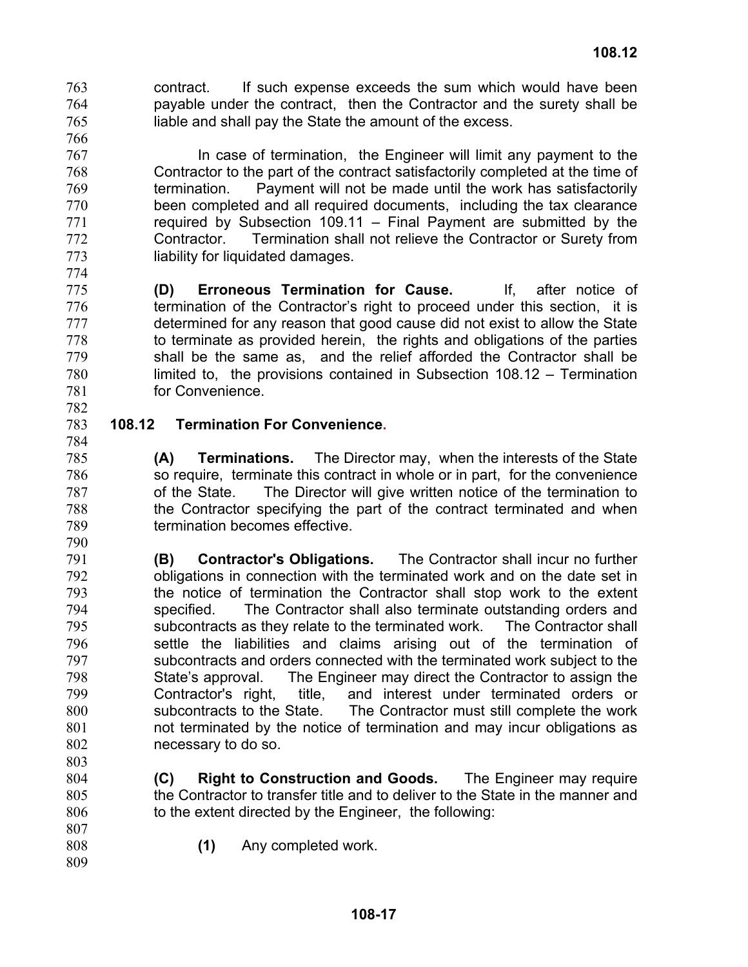contract. If such expense exceeds the sum which would have been payable under the contract, then the Contractor and the surety shall be liable and shall pay the State the amount of the excess. 763 764 765

767 768 769 770 771 772 773 In case of termination, the Engineer will limit any payment to the Contractor to the part of the contract satisfactorily completed at the time of termination. Payment will not be made until the work has satisfactorily been completed and all required documents, including the tax clearance required by Subsection 109.11 – Final Payment are submitted by the Contractor. Termination shall not relieve the Contractor or Surety from liability for liquidated damages.

**(D) Erroneous Termination for Cause.** If, after notice of termination of the Contractor's right to proceed under this section, it is determined for any reason that good cause did not exist to allow the State to terminate as provided herein, the rights and obligations of the parties shall be the same as, and the relief afforded the Contractor shall be limited to, the provisions contained in Subsection 108.12 – Termination for Convenience.

782 783

# 784 785

766

# **108.12 Termination For Convenience.**

**(A) Terminations.** The Director may, when the interests of the State so require, terminate this contract in whole or in part, for the convenience of the State. The Director will give written notice of the termination to the Contractor specifying the part of the contract terminated and when termination becomes effective.

- 791 792 793 794 795 796 797 798 799 800 801 802 **(B) Contractor's Obligations.** The Contractor shall incur no further obligations in connection with the terminated work and on the date set in the notice of termination the Contractor shall stop work to the extent specified. The Contractor shall also terminate outstanding orders and subcontracts as they relate to the terminated work. The Contractor shall settle the liabilities and claims arising out of the termination of subcontracts and orders connected with the terminated work subject to the State's approval. The Engineer may direct the Contractor to assign the Contractor's right, title, and interest under terminated orders or subcontracts to the State. The Contractor must still complete the work not terminated by the notice of termination and may incur obligations as necessary to do so.
- 804 805 806 **(C) Right to Construction and Goods.** The Engineer may require the Contractor to transfer title and to deliver to the State in the manner and to the extent directed by the Engineer, the following:
	- **(1)** Any completed work.
- 808 809

807

803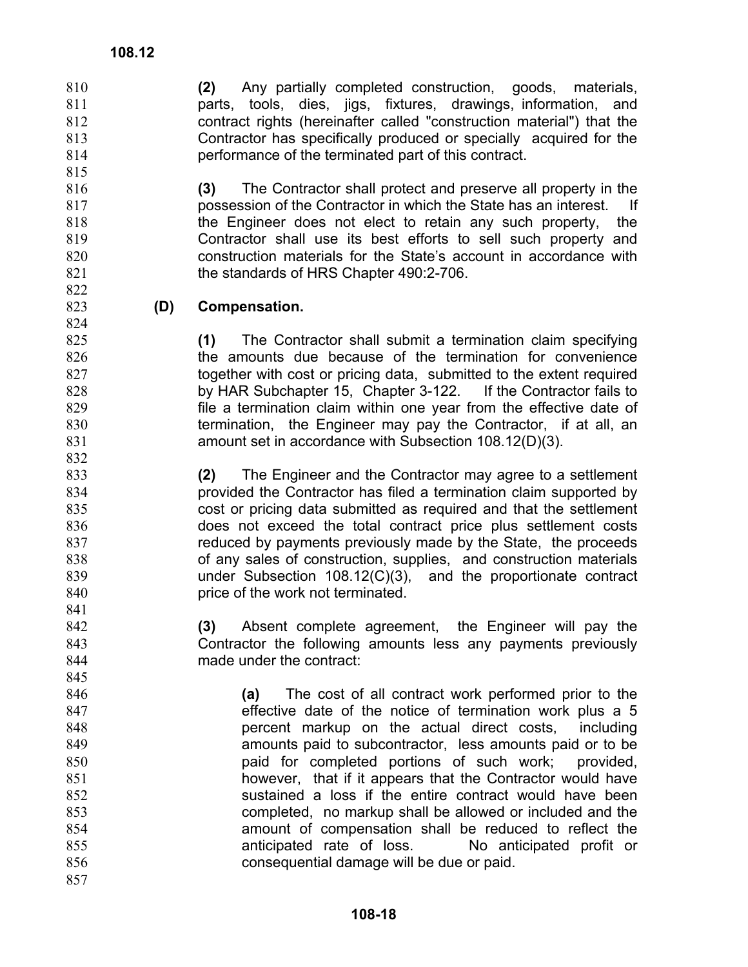**(2)** Any partially completed construction, goods, materials, parts, tools, dies, jigs, fixtures, drawings, information, and contract rights (hereinafter called "construction material") that the Contractor has specifically produced or specially acquired for the performance of the terminated part of this contract.

**(3)** The Contractor shall protect and preserve all property in the possession of the Contractor in which the State has an interest. If the Engineer does not elect to retain any such property, the Contractor shall use its best efforts to sell such property and construction materials for the State's account in accordance with the standards of HRS Chapter 490:2-706.

**(D) Compensation.** 

**(1)** The Contractor shall submit a termination claim specifying the amounts due because of the termination for convenience together with cost or pricing data, submitted to the extent required by HAR Subchapter 15, Chapter 3-122. If the Contractor fails to file a termination claim within one year from the effective date of termination, the Engineer may pay the Contractor, if at all, an amount set in accordance with Subsection 108.12(D)(3).

**(2)** The Engineer and the Contractor may agree to a settlement provided the Contractor has filed a termination claim supported by cost or pricing data submitted as required and that the settlement does not exceed the total contract price plus settlement costs reduced by payments previously made by the State, the proceeds of any sales of construction, supplies, and construction materials under Subsection 108.12(C)(3), and the proportionate contract price of the work not terminated.

**(3)** Absent complete agreement, the Engineer will pay the Contractor the following amounts less any payments previously made under the contract:

846 847 848 849 850 851 852 853 854 855 856 857 **(a)** The cost of all contract work performed prior to the effective date of the notice of termination work plus a 5 percent markup on the actual direct costs, including amounts paid to subcontractor, less amounts paid or to be paid for completed portions of such work; provided, however, that if it appears that the Contractor would have sustained a loss if the entire contract would have been completed, no markup shall be allowed or included and the amount of compensation shall be reduced to reflect the anticipated rate of loss. No anticipated profit or consequential damage will be due or paid.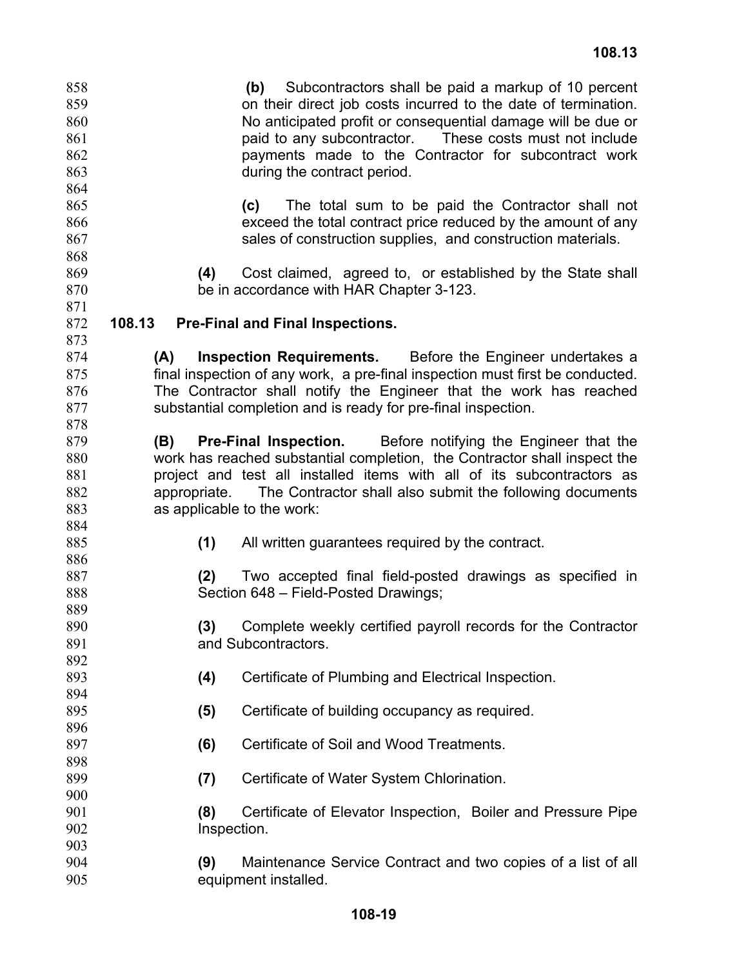No anticipated profit or consequential damage will be due or paid to any subcontractor. These costs must not include payments made to the Contractor for subcontract work during the contract period. 860 861 862 863 864 865 866 867 868 869 870 871 872 873 874 875 876 877 878 879 880 881 882 883 884 885 886 887 888 889 890 891 892 893 894 895 896 897 898 899 900 901 902 903 904 905 **(c)** The total sum to be paid the Contractor shall not exceed the total contract price reduced by the amount of any sales of construction supplies, and construction materials. **(4)** Cost claimed, agreed to, or established by the State shall be in accordance with HAR Chapter 3-123. **108.13 Pre-Final and Final Inspections. (A) Inspection Requirements.** Before the Engineer undertakes a final inspection of any work, a pre-final inspection must first be conducted. The Contractor shall notify the Engineer that the work has reached substantial completion and is ready for pre-final inspection. **(B) Pre-Final Inspection.** Before notifying the Engineer that the work has reached substantial completion, the Contractor shall inspect the project and test all installed items with all of its subcontractors as appropriate. The Contractor shall also submit the following documents as applicable to the work: **(1)** All written guarantees required by the contract. **(2)** Two accepted final field-posted drawings as specified in Section 648 – Field-Posted Drawings; **(3)** Complete weekly certified payroll records for the Contractor and Subcontractors. **(4)** Certificate of Plumbing and Electrical Inspection. **(5)** Certificate of building occupancy as required. **(6)** Certificate of Soil and Wood Treatments. **(7)** Certificate of Water System Chlorination. **(8)** Certificate of Elevator Inspection, Boiler and Pressure Pipe Inspection. **(9)** Maintenance Service Contract and two copies of a list of all equipment installed.

858 859

**(b)** Subcontractors shall be paid a markup of 10 percent on their direct job costs incurred to the date of termination.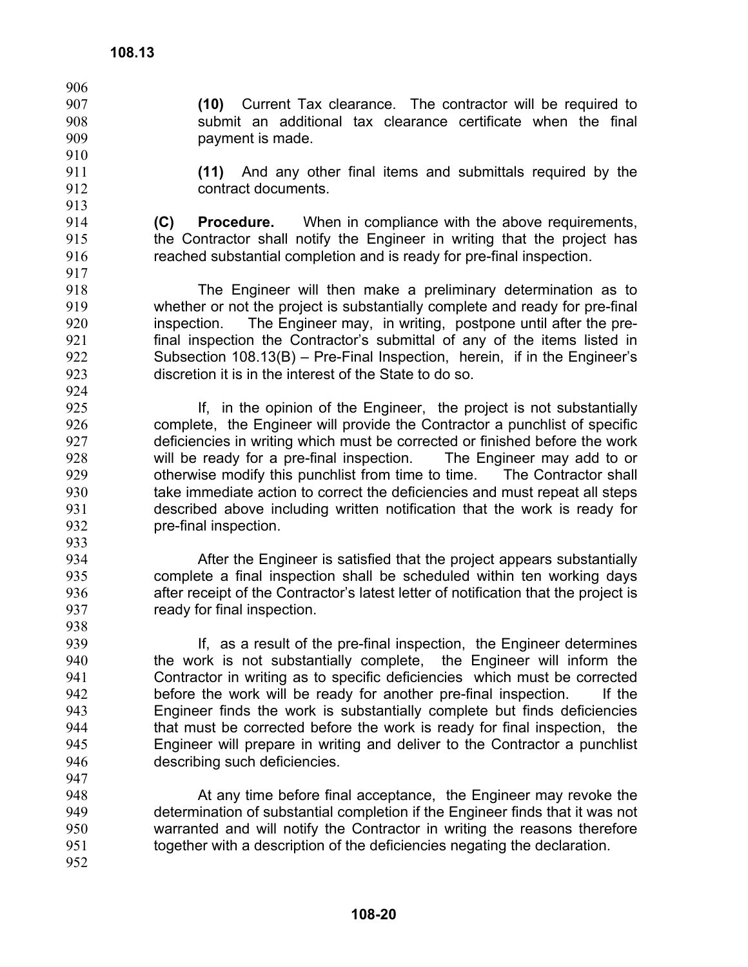- **(10)** Current Tax clearance. The contractor will be required to submit an additional tax clearance certificate when the final payment is made.
- 909 910

906 907 908

911 912

**(11)** And any other final items and submittals required by the contract documents.

- **(C) Procedure.** When in compliance with the above requirements, the Contractor shall notify the Engineer in writing that the project has reached substantial completion and is ready for pre-final inspection.
- 918 919 920 921 922 923 924 The Engineer will then make a preliminary determination as to whether or not the project is substantially complete and ready for pre-final inspection. The Engineer may, in writing, postpone until after the prefinal inspection the Contractor's submittal of any of the items listed in Subsection 108.13(B) – Pre-Final Inspection, herein, if in the Engineer's discretion it is in the interest of the State to do so.
- 925 926 927 928 929 930 931 932 933 If, in the opinion of the Engineer, the project is not substantially complete, the Engineer will provide the Contractor a punchlist of specific deficiencies in writing which must be corrected or finished before the work will be ready for a pre-final inspection. The Engineer may add to or otherwise modify this punchlist from time to time. The Contractor shall take immediate action to correct the deficiencies and must repeat all steps described above including written notification that the work is ready for pre-final inspection.
- 934 935 936 937 After the Engineer is satisfied that the project appears substantially complete a final inspection shall be scheduled within ten working days after receipt of the Contractor's latest letter of notification that the project is ready for final inspection.
- 939 940 941 942 943 944 945 946 947 If, as a result of the pre-final inspection, the Engineer determines the work is not substantially complete, the Engineer will inform the Contractor in writing as to specific deficiencies which must be corrected before the work will be ready for another pre-final inspection. If the Engineer finds the work is substantially complete but finds deficiencies that must be corrected before the work is ready for final inspection, the Engineer will prepare in writing and deliver to the Contractor a punchlist describing such deficiencies.
- 948 949 950 951 At any time before final acceptance, the Engineer may revoke the determination of substantial completion if the Engineer finds that it was not warranted and will notify the Contractor in writing the reasons therefore together with a description of the deficiencies negating the declaration.
- 952

938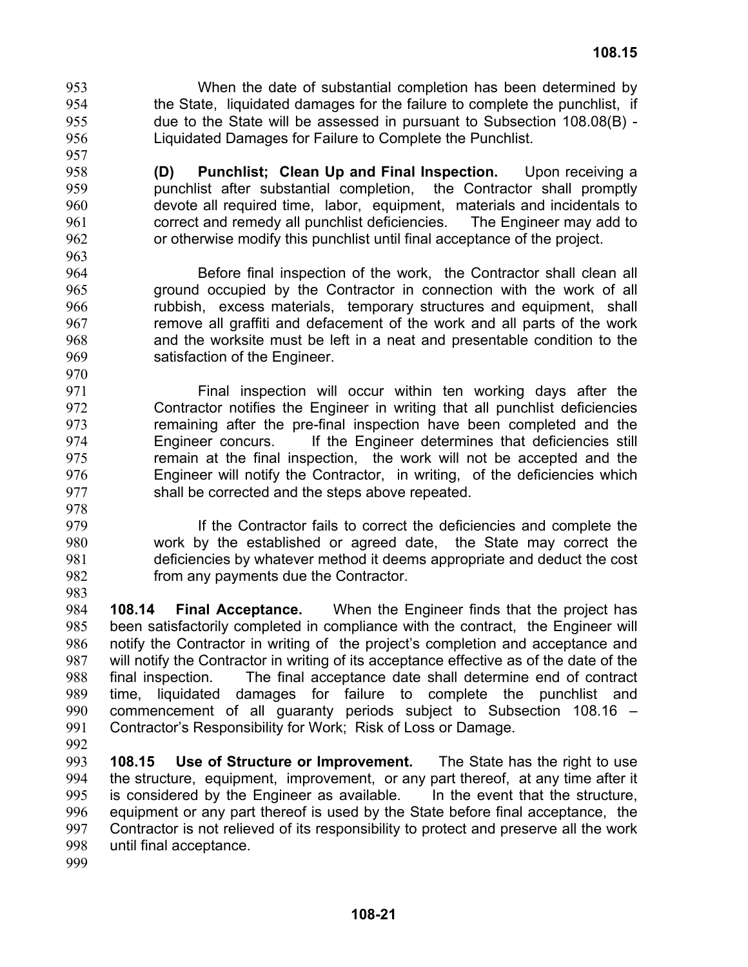- 953 954 955 956 When the date of substantial completion has been determined by the State, liquidated damages for the failure to complete the punchlist, if due to the State will be assessed in pursuant to Subsection 108.08(B) - Liquidated Damages for Failure to Complete the Punchlist.
- 958 959 960 961 962 **(D) Punchlist; Clean Up and Final Inspection.** Upon receiving a punchlist after substantial completion, the Contractor shall promptly devote all required time, labor, equipment, materials and incidentals to correct and remedy all punchlist deficiencies. The Engineer may add to or otherwise modify this punchlist until final acceptance of the project.
- 964 965 966 967 968 969 Before final inspection of the work, the Contractor shall clean all ground occupied by the Contractor in connection with the work of all rubbish, excess materials, temporary structures and equipment, shall remove all graffiti and defacement of the work and all parts of the work and the worksite must be left in a neat and presentable condition to the satisfaction of the Engineer.
- 971 972 973 974 975 976 977 Final inspection will occur within ten working days after the Contractor notifies the Engineer in writing that all punchlist deficiencies remaining after the pre-final inspection have been completed and the Engineer concurs. If the Engineer determines that deficiencies still remain at the final inspection, the work will not be accepted and the Engineer will notify the Contractor, in writing, of the deficiencies which shall be corrected and the steps above repeated.
- 978

957

963

970

- 979 980 981 982 983 If the Contractor fails to correct the deficiencies and complete the work by the established or agreed date, the State may correct the deficiencies by whatever method it deems appropriate and deduct the cost from any payments due the Contractor.
- 984 985 986 987 988 989 990 991 **108.14 Final Acceptance.** When the Engineer finds that the project has been satisfactorily completed in compliance with the contract, the Engineer will notify the Contractor in writing of the project's completion and acceptance and will notify the Contractor in writing of its acceptance effective as of the date of the final inspection. The final acceptance date shall determine end of contract time, liquidated damages for failure to complete the punchlist and commencement of all guaranty periods subject to Subsection 108.16 – Contractor's Responsibility for Work; Risk of Loss or Damage.
- 992
- 993 994 995 996 997 998 **108.15 Use of Structure or Improvement.** The State has the right to use the structure, equipment, improvement, or any part thereof, at any time after it is considered by the Engineer as available. In the event that the structure, equipment or any part thereof is used by the State before final acceptance, the Contractor is not relieved of its responsibility to protect and preserve all the work until final acceptance.
- 999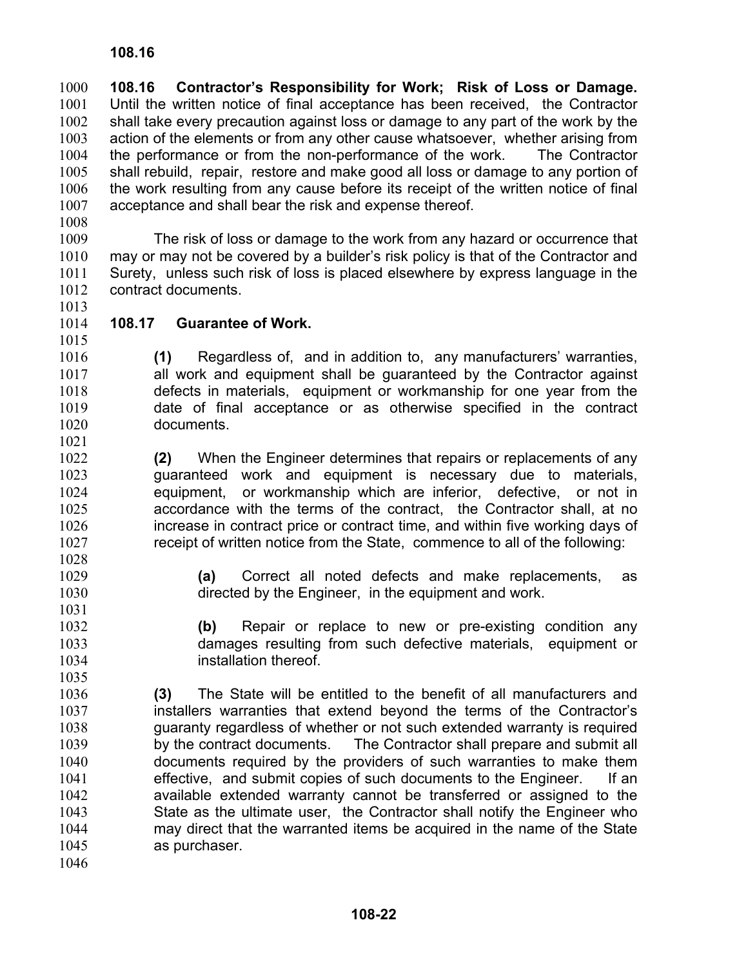**108.16 Contractor's Responsibility for Work; Risk of Loss or Damage.** Until the written notice of final acceptance has been received, the Contractor shall take every precaution against loss or damage to any part of the work by the action of the elements or from any other cause whatsoever, whether arising from the performance or from the non-performance of the work. The Contractor shall rebuild, repair, restore and make good all loss or damage to any portion of the work resulting from any cause before its receipt of the written notice of final acceptance and shall bear the risk and expense thereof. 1000 1001 1002 1003 1004 1005 1006 1007

1008

1009 1010 1011 1012 The risk of loss or damage to the work from any hazard or occurrence that may or may not be covered by a builder's risk policy is that of the Contractor and Surety, unless such risk of loss is placed elsewhere by express language in the contract documents.

1013

### **108.17 Guarantee of Work.**

1014 1015

1016 1017 1018 1019 1020 1021 **(1)** Regardless of, and in addition to, any manufacturers' warranties, all work and equipment shall be guaranteed by the Contractor against defects in materials, equipment or workmanship for one year from the date of final acceptance or as otherwise specified in the contract documents.

- 1022 1023 1024 1025 1026 1027 **(2)** When the Engineer determines that repairs or replacements of any guaranteed work and equipment is necessary due to materials, equipment, or workmanship which are inferior, defective, or not in accordance with the terms of the contract, the Contractor shall, at no increase in contract price or contract time, and within five working days of receipt of written notice from the State, commence to all of the following:
- 1028 1029 1030

**(a)** Correct all noted defects and make replacements, as directed by the Engineer, in the equipment and work.

- **(b)** Repair or replace to new or pre-existing condition any damages resulting from such defective materials, equipment or installation thereof.
- 1036 1037 1038 1039 1040 1041 1042 1043 1044 1045 1046 **(3)** The State will be entitled to the benefit of all manufacturers and installers warranties that extend beyond the terms of the Contractor's guaranty regardless of whether or not such extended warranty is required by the contract documents. The Contractor shall prepare and submit all documents required by the providers of such warranties to make them effective, and submit copies of such documents to the Engineer. If an available extended warranty cannot be transferred or assigned to the State as the ultimate user, the Contractor shall notify the Engineer who may direct that the warranted items be acquired in the name of the State as purchaser.
	- **108-22**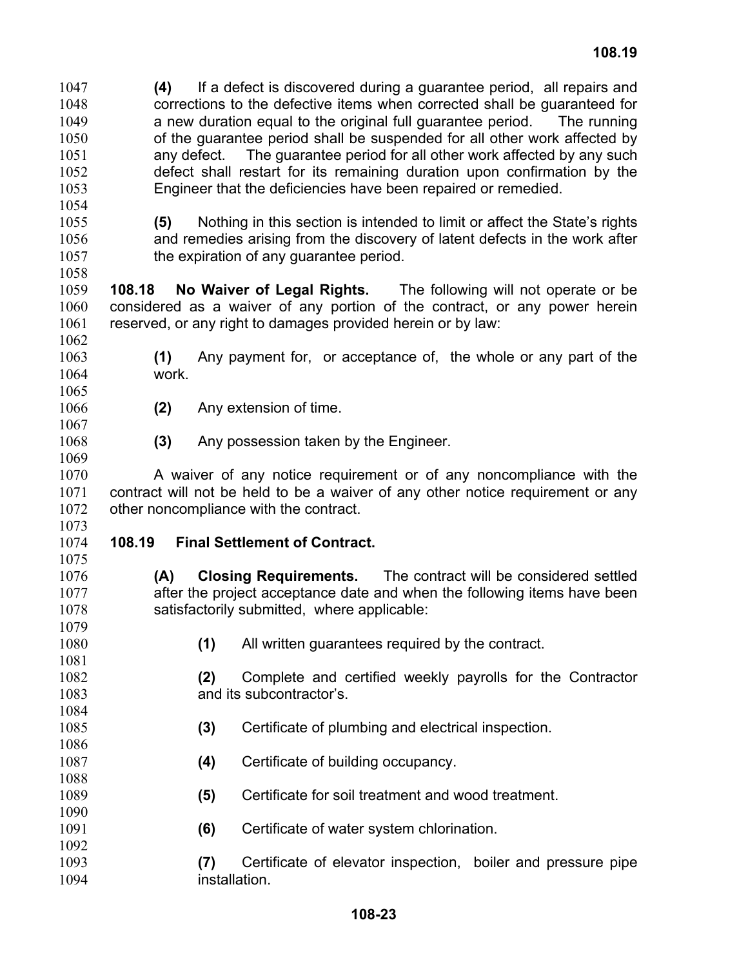**(4)** If a defect is discovered during a guarantee period, all repairs and corrections to the defective items when corrected shall be guaranteed for a new duration equal to the original full guarantee period. The running of the guarantee period shall be suspended for all other work affected by any defect. The guarantee period for all other work affected by any such defect shall restart for its remaining duration upon confirmation by the Engineer that the deficiencies have been repaired or remedied. 1047 1048 1049 1050 1051 1052 1053

1054

1058

1055 1056 1057 **(5)** Nothing in this section is intended to limit or affect the State's rights and remedies arising from the discovery of latent defects in the work after the expiration of any guarantee period.

1059 1060 1061 **108.18 No Waiver of Legal Rights.** The following will not operate or be considered as a waiver of any portion of the contract, or any power herein reserved, or any right to damages provided herein or by law:

1062 1063 1064 **(1)** Any payment for, or acceptance of, the whole or any part of the work.

1065 1066

**(2)** Any extension of time.

1067 1068 1069

**(3)** Any possession taken by the Engineer.

1070 1071 1072 A waiver of any notice requirement or of any noncompliance with the contract will not be held to be a waiver of any other notice requirement or any other noncompliance with the contract.

1073 1074

#### 1075 **108.19 Final Settlement of Contract.**

**(A) Closing Requirements.** The contract will be considered settled after the project acceptance date and when the following items have been satisfactorily submitted, where applicable:

1080 1081 1082 1083 1084 1085 1086 1087 1088 1089 1090 1091 1092 1093 1094 **(1)** All written guarantees required by the contract. **(2)** Complete and certified weekly payrolls for the Contractor and its subcontractor's. **(3)** Certificate of plumbing and electrical inspection. **(4)** Certificate of building occupancy. **(5)** Certificate for soil treatment and wood treatment. **(6)** Certificate of water system chlorination. **(7)** Certificate of elevator inspection, boiler and pressure pipe installation.